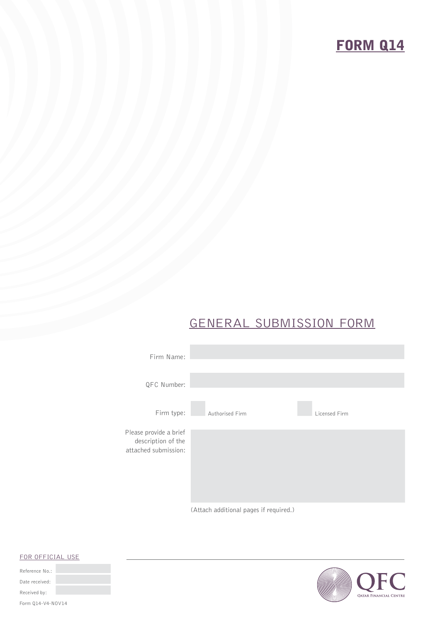# **FORM Q14**

## GENERAL SUBMISSION FORM







#### FOR OFFICIAL USE

| Reference No.:    |  |
|-------------------|--|
| Date received:    |  |
| Received by:      |  |
|                   |  |
| Form 014-V4-NOV14 |  |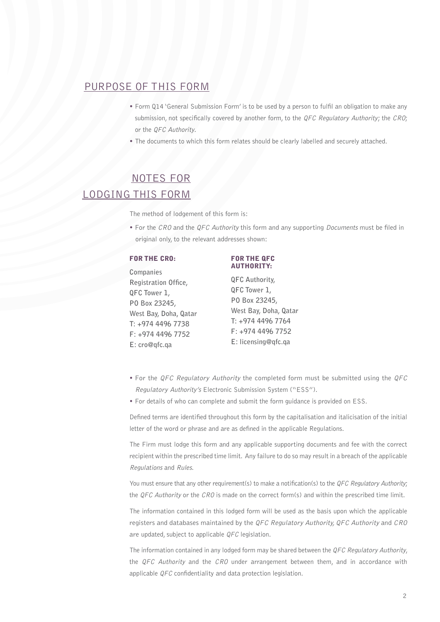#### PURPOSE OF THIS FORM

- **•** Form Q14 'General Submission Form' is to be used by a person to fulfil an obligation to make any submission, not specifically covered by another form, to the QFC Regulatory Authority; the CRO; or the QFC Authority.
- **•** The documents to which this form relates should be clearly labelled and securely attached.

### NOTES FOR LODGING THIS FORM

The method of lodgement of this form is:

**•** For the CRO and the QFC Authority this form and any supporting Documents must be filed in original only, to the relevant addresses shown:

#### FOR THE CRO: FOR THE QFC

**Companies Registration Office, QFC Tower 1, PO Box 23245, West Bay, Doha, Qatar T: +974 4496 7738 F: +974 4496 7752 E: cro@qfc.qa**

### AUTHORITY:

**QFC Authority, QFC Tower 1, PO Box 23245, West Bay, Doha, Qatar T: +974 4496 7764 F: +974 4496 7752 E: licensing@qfc.qa**

- **•** For the QFC Regulatory Authority the completed form must be submitted using the QFC Regulatory Authority's Electronic Submission System ("ESS").
- **•** For details of who can complete and submit the form guidance is provided on ESS.

Defined terms are identified throughout this form by the capitalisation and italicisation of the initial letter of the word or phrase and are as defined in the applicable Regulations.

The Firm must lodge this form and any applicable supporting documents and fee with the correct recipient within the prescribed time limit. Any failure to do so may result in a breach of the applicable Regulations and Rules.

You must ensure that any other requirement(s) to make a notification(s) to the OFC Regulatory Authority; the QFC Authority or the CRO is made on the correct form(s) and within the prescribed time limit.

The information contained in this lodged form will be used as the basis upon which the applicable registers and databases maintained by the QFC Regulatory Authority, QFC Authority and CRO are updated, subject to applicable QFC legislation.

The information contained in any lodged form may be shared between the  $QFC$  Regulatory Authority, the  $QFC$  Authority and the  $CRO$  under arrangement between them, and in accordance with applicable QFC confidentiality and data protection legislation.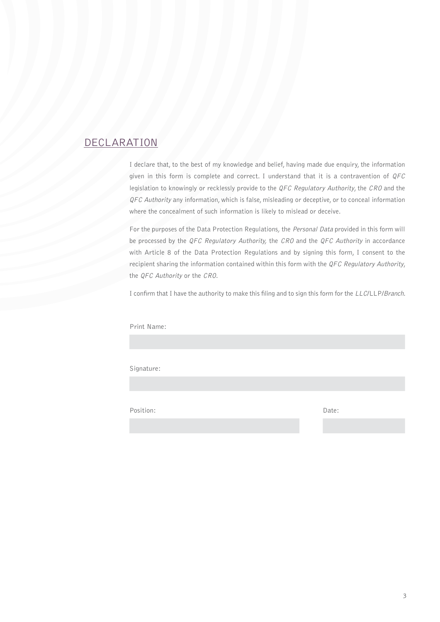#### DECLARATION

I declare that, to the best of my knowledge and belief, having made due enquiry, the information given in this form is complete and correct. I understand that it is a contravention of  $QFC$ legislation to knowingly or recklessly provide to the QFC Regulatory Authority, the CRO and the QFC Authority any information, which is false, misleading or deceptive, or to conceal information where the concealment of such information is likely to mislead or deceive.

For the purposes of the Data Protection Regulations, the Personal Data provided in this form will be processed by the QFC Regulatory Authority, the CRO and the QFC Authority in accordance with Article 8 of the Data Protection Regulations and by signing this form, I consent to the recipient sharing the information contained within this form with the QFC Regulatory Authority, the QFC Authority or the CRO.

I confirm that I have the authority to make this filing and to sign this form for the LLC/LLP/Branch.

Print Name:

Signature:

Position: Date: